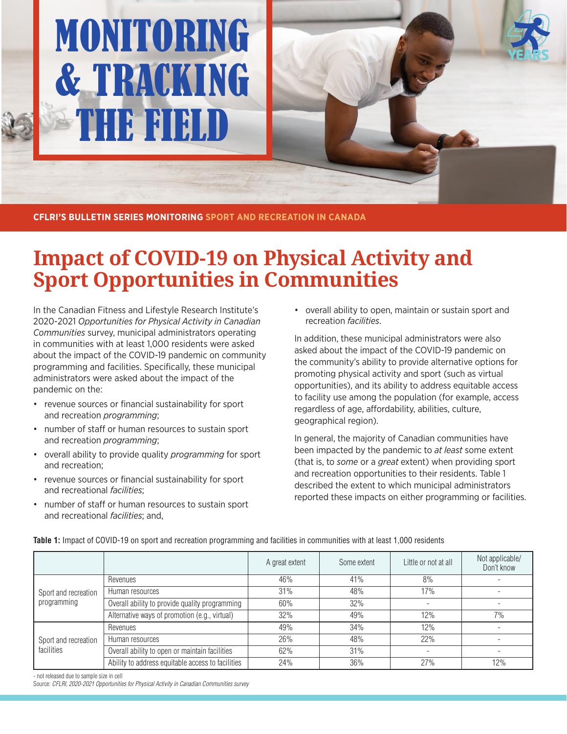# MONITORING & TRACKING THE FIELD OF ST

**CFLRI'S BULLETIN SERIES MONITORING SPORT AND RECREATION IN CANADA**

## **Impact of COVID-19 on Physical Activity and Sport Opportunities in Communities**

In the Canadian Fitness and Lifestyle Research Institute's 2020-2021 *Opportunities for Physical Activity in Canadian Communities* survey, municipal administrators operating in communities with at least 1,000 residents were asked about the impact of the COVID-19 pandemic on community programming and facilities. Specifically, these municipal administrators were asked about the impact of the pandemic on the:

- revenue sources or financial sustainability for sport and recreation *programming*;
- number of staff or human resources to sustain sport and recreation *programming*;
- overall ability to provide quality *programming* for sport and recreation;
- revenue sources or financial sustainability for sport and recreational *facilities*;
- number of staff or human resources to sustain sport and recreational *facilities*; and,

• overall ability to open, maintain or sustain sport and recreation *facilities*.

In addition, these municipal administrators were also asked about the impact of the COVID-19 pandemic on the community's ability to provide alternative options for promoting physical activity and sport (such as virtual opportunities), and its ability to address equitable access to facility use among the population (for example, access regardless of age, affordability, abilities, culture, geographical region).

In general, the majority of Canadian communities have been impacted by the pandemic to *at least* some extent (that is, to *some* or a *great* extent) when providing sport and recreation opportunities to their residents. Table 1 described the extent to which municipal administrators reported these impacts on either programming or facilities.

|                                     |                                                   | A great extent | Some extent | Little or not at all | Not applicable/<br>Don't know |
|-------------------------------------|---------------------------------------------------|----------------|-------------|----------------------|-------------------------------|
| Sport and recreation<br>programming | Revenues                                          | 46%            | 41%         | 8%                   |                               |
|                                     | Human resources                                   | 31%            | 48%         | 17%                  |                               |
|                                     | Overall ability to provide quality programming    | 60%            | 32%         |                      |                               |
|                                     | Alternative ways of promotion (e.g., virtual)     | 32%            | 49%         | 12%                  | 7%                            |
| Sport and recreation<br>facilities  | Revenues                                          | 49%            | 34%         | 12%                  |                               |
|                                     | Human resources                                   | 26%            | 48%         | 22%                  |                               |
|                                     | Overall ability to open or maintain facilities    | 62%            | 31%         |                      |                               |
|                                     | Ability to address equitable access to facilities | 24%            | 36%         | 27%                  | 12%                           |

**Table 1:** Impact of COVID-19 on sport and recreation programming and facilities in communities with at least 1,000 residents

- not released due to sample size in cell

Source: CFLRI, 2020-2021 Opportunities for Physical Activity in Canadian Communities survey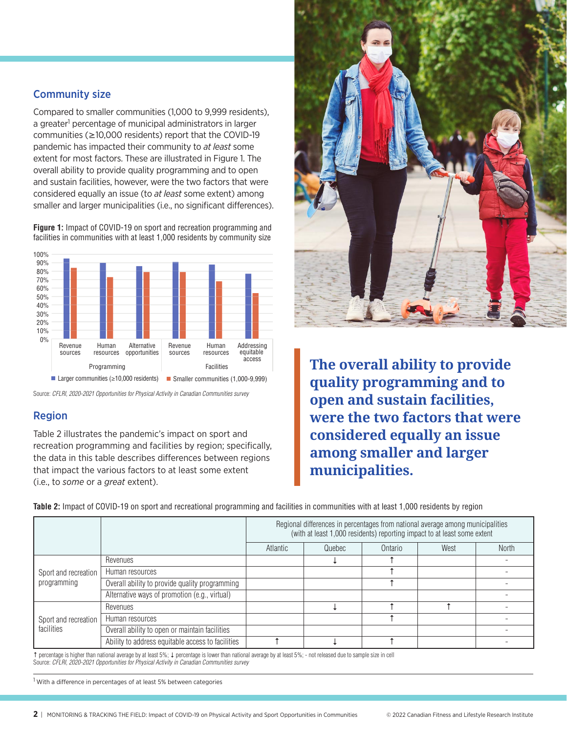### Community size

Compared to smaller communities (1,000 to 9,999 residents), a greater<sup>1</sup> percentage of municipal administrators in larger communities (≥10,000 residents) report that the COVID-19 pandemic has impacted their community to *at least* some extent for most factors. These are illustrated in Figure 1. The overall ability to provide quality programming and to open and sustain facilities, however, were the two factors that were considered equally an issue (to *at least* some extent) among smaller and larger municipalities (i.e., no significant differences).

**Figure 1:** Impact of COVID-19 on sport and recreation programming and facilities in communities with at least 1,000 residents by community size



Source: CFLRI, 2020-2021 Opportunities for Physical Activity in Canadian Communities survey

### Region

Table 2 illustrates the pandemic's impact on sport and recreation programming and facilities by region; specifically, the data in this table describes differences between regions that impact the various factors to at least some extent (i.e., to *some* or a *great* extent).



**The overall ability to provide quality programming and to open and sustain facilities, were the two factors that were considered equally an issue among smaller and larger municipalities.**

**Table 2:** Impact of COVID-19 on sport and recreational programming and facilities in communities with at least 1,000 residents by region

|                                     |                                                   | Regional differences in percentages from national average among municipalities<br>(with at least 1,000 residents) reporting impact to at least some extent |        |         |      |              |
|-------------------------------------|---------------------------------------------------|------------------------------------------------------------------------------------------------------------------------------------------------------------|--------|---------|------|--------------|
|                                     |                                                   | Atlantic                                                                                                                                                   | Quebec | Ontario | West | <b>North</b> |
| Sport and recreation<br>programming | Revenues                                          |                                                                                                                                                            |        |         |      |              |
|                                     | Human resources                                   |                                                                                                                                                            |        |         |      |              |
|                                     | Overall ability to provide quality programming    |                                                                                                                                                            |        |         |      |              |
|                                     | Alternative ways of promotion (e.g., virtual)     |                                                                                                                                                            |        |         |      |              |
| Sport and recreation<br>facilities  | Revenues                                          |                                                                                                                                                            |        |         |      |              |
|                                     | Human resources                                   |                                                                                                                                                            |        |         |      |              |
|                                     | Overall ability to open or maintain facilities    |                                                                                                                                                            |        |         |      |              |
|                                     | Ability to address equitable access to facilities |                                                                                                                                                            |        |         |      |              |

↑ percentage is higher than national average by at least 5%; ↓ percentage is lower than national average by at least 5%; - not released due to sample size in cell Source: CFLRI, 2020-2021 Opportunities for Physical Activity in Canadian Communities survey

<sup>1</sup> With a difference in percentages of at least 5% between categories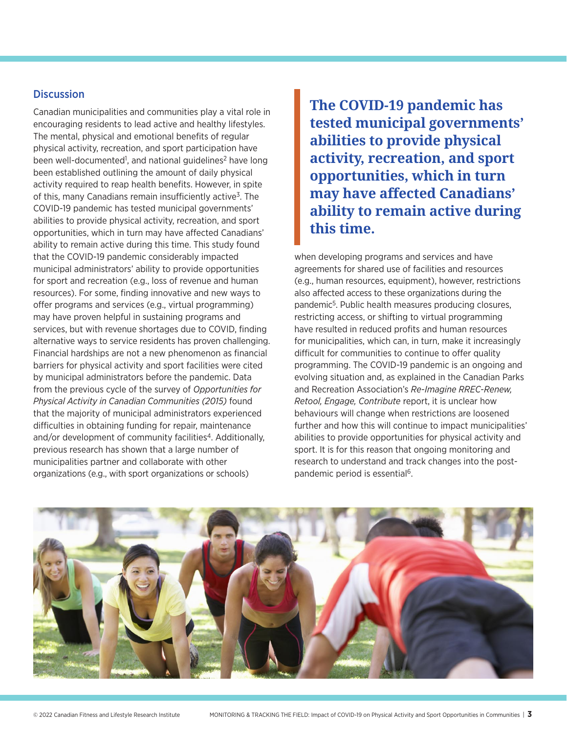#### **Discussion** Discussion

Canadian municipalities and communities play a vital role in encouraging residents to lead active and healthy lifestyles. The mental, physical and emotional benefits of regular physical activity, recreation, and sport participation have been well-documented<sup>1</sup>, and national guidelines<sup>2</sup> have long been established outlining the amount of daily physical activity required to reap health benefits. However, in spite of this, many Canadians remain insufficiently active<sup>3</sup>. The COVID-19 pandemic has tested municipal governments' abilities to provide physical activity, recreation, and sport opportunities, which in turn may have affected Canadians' ability to remain active during this time. This study found that the COVID-19 pandemic considerably impacted municipal administrators' ability to provide opportunities for sport and recreation (e.g., loss of revenue and human resources). For some, finding innovative and new ways to offer programs and services (e.g., virtual programming) may have proven helpful in sustaining programs and services, but with revenue shortages due to COVID, finding alternative ways to service residents has proven challenging. Financial hardships are not a new phenomenon as financial barriers for physical activity and sport facilities were cited by municipal administrators before the pandemic. Data from the previous cycle of the survey of *Opportunities for Physical Activity in Canadian Communities (2015)* found that the majority of municipal administrators experienced difficulties in obtaining funding for repair, maintenance and/or development of community facilities<sup>4</sup>. Additionally, previous research has shown that a large number of municipalities partner and collaborate with other organizations (e.g., with sport organizations or schools)

**The COVID-19 pandemic has tested municipal governments' abilities to provide physical activity, recreation, and sport opportunities, which in turn may have affected Canadians' ability to remain active during this time.**

when developing programs and services and have agreements for shared use of facilities and resources (e.g., human resources, equipment), however, restrictions also affected access to these organizations during the pandemic5. Public health measures producing closures, restricting access, or shifting to virtual programming have resulted in reduced profits and human resources for municipalities, which can, in turn, make it increasingly difficult for communities to continue to offer quality programming. The COVID-19 pandemic is an ongoing and evolving situation and, as explained in the Canadian Parks and Recreation Association's *Re-Imagine RREC-Renew, Retool, Engage, Contribute* report, it is unclear how behaviours will change when restrictions are loosened further and how this will continue to impact municipalities' abilities to provide opportunities for physical activity and sport. It is for this reason that ongoing monitoring and research to understand and track changes into the postpandemic period is essential<sup>6</sup>.